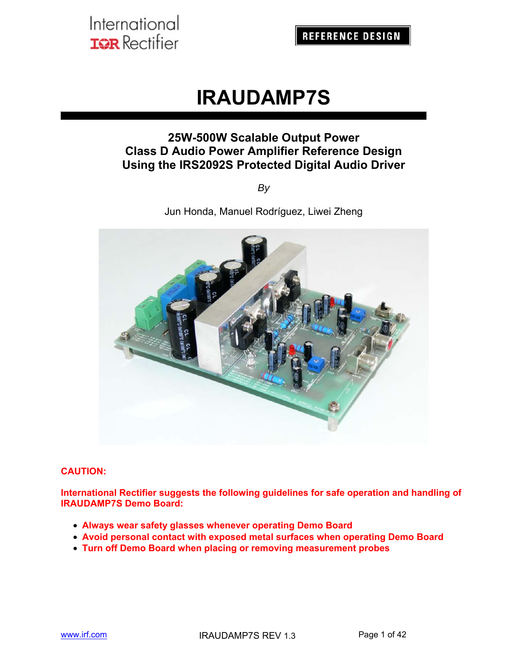# **IRAUDAMP7S**

## **25W-500W Scalable Output Power Class D Audio Power Amplifier Reference Design Using the IRS2092S Protected Digital Audio Driver**

*By*

Jun Honda, Manuel Rodríguez, Liwei Zheng



#### **CAUTION:**

**International Rectifier suggests the following guidelines for safe operation and handling of IRAUDAMP7S Demo Board:** 

- **Always wear safety glasses whenever operating Demo Board**
- **Avoid personal contact with exposed metal surfaces when operating Demo Board**
- **Turn off Demo Board when placing or removing measurement probes**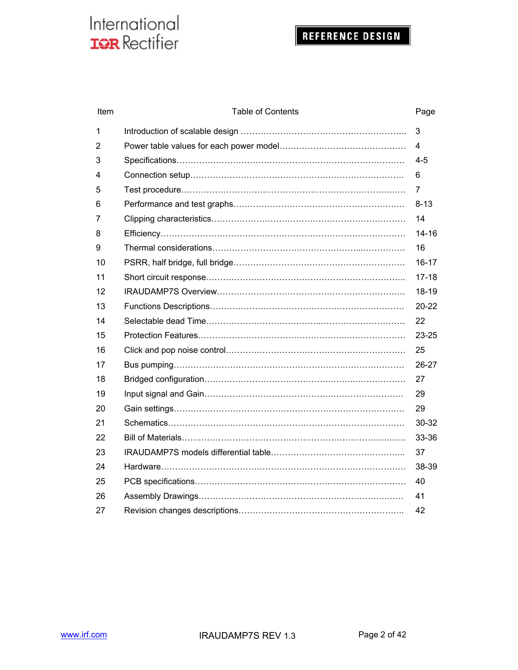## REFERENCE DESIGN

| Item | <b>Table of Contents</b> | Page      |
|------|--------------------------|-----------|
| 1    |                          | 3         |
| 2    |                          | 4         |
| 3    |                          | $4 - 5$   |
| 4    |                          | 6         |
| 5    |                          | 7         |
| 6    |                          | $8 - 13$  |
| 7    |                          | 14        |
| 8    |                          | $14 - 16$ |
| 9    |                          | 16        |
| 10   |                          | $16 - 17$ |
| 11   |                          | $17 - 18$ |
| 12   |                          | $18 - 19$ |
| 13   |                          | $20 - 22$ |
| 14   |                          | 22        |
| 15   |                          | 23-25     |
| 16   |                          | 25        |
| 17   |                          | 26-27     |
| 18   |                          | 27        |
| 19   |                          | 29        |
| 20   |                          | 29        |
| 21   |                          | 30-32     |
| 22   |                          | 33-36     |
| 23   |                          | 37        |
| 24   |                          | 38-39     |
| 25   |                          | 40        |
| 26   |                          | 41        |
| 27   |                          | 42        |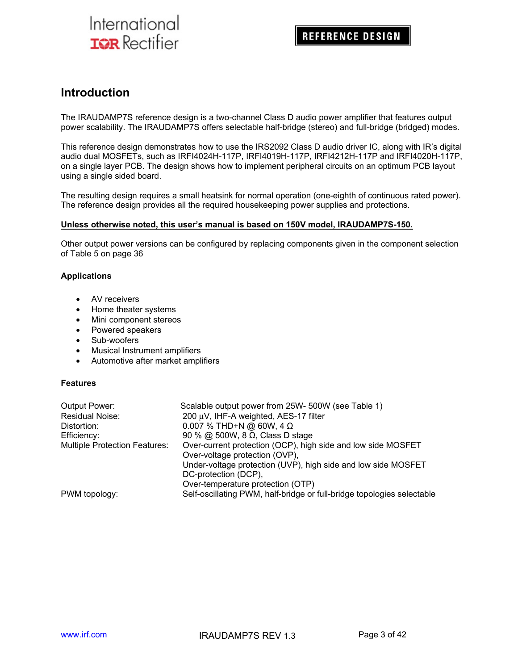### **Introduction**

The IRAUDAMP7S reference design is a two-channel Class D audio power amplifier that features output power scalability. The IRAUDAMP7S offers selectable half-bridge (stereo) and full-bridge (bridged) modes.

This reference design demonstrates how to use the IRS2092 Class D audio driver IC, along with IR's digital audio dual MOSFETs, such as IRFI4024H-117P, IRFI4019H-117P, IRFI4212H-117P and IRFI4020H-117P, on a single layer PCB. The design shows how to implement peripheral circuits on an optimum PCB layout using a single sided board.

The resulting design requires a small heatsink for normal operation (one-eighth of continuous rated power). The reference design provides all the required housekeeping power supplies and protections.

#### **Unless otherwise noted, this user's manual is based on 150V model, IRAUDAMP7S-150.**

Other output power versions can be configured by replacing components given in the component selection of Table 5 on page 36

#### **Applications**

- AV receivers
- Home theater systems
- Mini component stereos
- Powered speakers
- Sub-woofers
- Musical Instrument amplifiers
- Automotive after market amplifiers

#### **Features**

| Output Power:                        | Scalable output power from 25W- 500W (see Table 1)                     |
|--------------------------------------|------------------------------------------------------------------------|
| Residual Noise:                      | 200 μV, IHF-A weighted, AES-17 filter                                  |
| Distortion:                          | 0.007 % THD+N @ 60W, 4 $\Omega$                                        |
| Efficiency:                          | 90 % @ 500W, 8 $\Omega$ , Class D stage                                |
| <b>Multiple Protection Features:</b> | Over-current protection (OCP), high side and low side MOSFET           |
|                                      | Over-voltage protection (OVP),                                         |
|                                      | Under-voltage protection (UVP), high side and low side MOSFET          |
|                                      | DC-protection (DCP),                                                   |
|                                      | Over-temperature protection (OTP)                                      |
| PWM topology:                        | Self-oscillating PWM, half-bridge or full-bridge topologies selectable |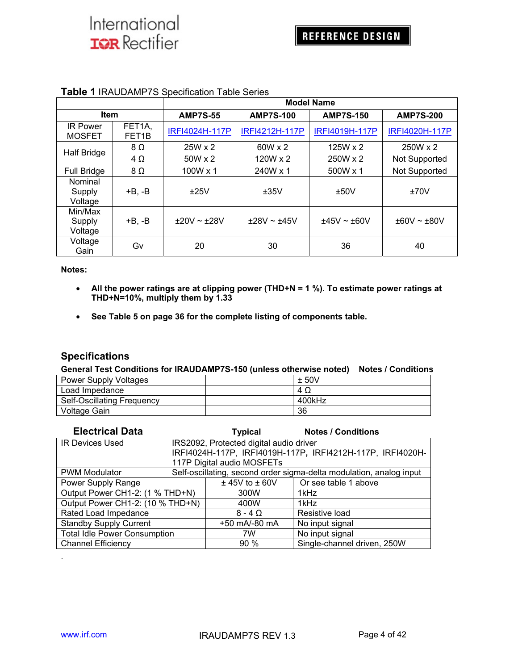|                                  |                              | <b>Model Name</b> |                  |                  |                      |
|----------------------------------|------------------------------|-------------------|------------------|------------------|----------------------|
| <b>Item</b>                      |                              | <b>AMP7S-55</b>   | <b>AMP7S-100</b> | <b>AMP7S-150</b> | <b>AMP7S-200</b>     |
| <b>IR Power</b><br><b>MOSFET</b> | FET1A,<br>FET <sub>1</sub> B | IRFI4024H-117P    | IRFI4212H-117P   | IRFI4019H-117P   | IRFI4020H-117P       |
| <b>Half Bridge</b>               | $8\Omega$                    | $25W \times 2$    | $60W \times 2$   | $125W \times 2$  | 250W x 2             |
|                                  | $4\Omega$                    | $50W \times 2$    | 120W x 2         | 250W x 2         | Not Supported        |
| <b>Full Bridge</b>               | 8Ω                           | 100W x 1          | 240W x 1         | 500W x 1         | <b>Not Supported</b> |
| Nominal<br>Supply<br>Voltage     | +B. -B                       | ±25V              | ±35V             | ±50V             | ±70V                 |
| Min/Max<br>Supply<br>Voltage     | $+B, -B$                     | $+20V \sim +28V$  | ±28V ~±45V       | $±45V \sim ±60V$ | $±60V \sim ±80V$     |
| Voltage<br>Gain                  | G٧                           | 20                | 30               | 36               | 40                   |

#### **Table 1** IRAUDAMP7S Specification Table Series

#### **Notes:**

- **All the power ratings are at clipping power (THD+N = 1 %). To estimate power ratings at THD+N=10%, multiply them by 1.33**
- **See Table 5 on page 36 for the complete listing of components table.**

#### **Specifications**

#### **General Test Conditions for IRAUDAMP7S-150 (unless otherwise noted) Notes / Conditions**

| <b>Power Supply Voltages</b> | ± 50V  |
|------------------------------|--------|
| Load Impedance               | 4 Q    |
| Self-Oscillating Frequency   | 400kHz |
| Voltage Gain                 | 36     |

| <b>Electrical Data</b>              | Typical                                 | <b>Notes / Conditions</b>                                           |
|-------------------------------------|-----------------------------------------|---------------------------------------------------------------------|
| <b>IR Devices Used</b>              | IRS2092, Protected digital audio driver |                                                                     |
|                                     |                                         | IRFI4024H-117P, IRFI4019H-117P, IRFI4212H-117P, IRFI4020H-          |
|                                     | 117P Digital audio MOSFETs              |                                                                     |
| <b>PWM Modulator</b>                |                                         | Self-oscillating, second order sigma-delta modulation, analog input |
| Power Supply Range                  | $±$ 45V to $±$ 60V                      | Or see table 1 above                                                |
| Output Power CH1-2: (1 % THD+N)     | 300W                                    | 1kHz                                                                |
| Output Power CH1-2: (10 % THD+N)    | 400W                                    | 1kHz                                                                |
| Rated Load Impedance                | $8 - 4$ $\Omega$                        | Resistive load                                                      |
| <b>Standby Supply Current</b>       | +50 mA/-80 mA                           | No input signal                                                     |
| <b>Total Idle Power Consumption</b> | 7W                                      | No input signal                                                     |
| <b>Channel Efficiency</b>           | $90\%$                                  | Single-channel driven, 250W                                         |

.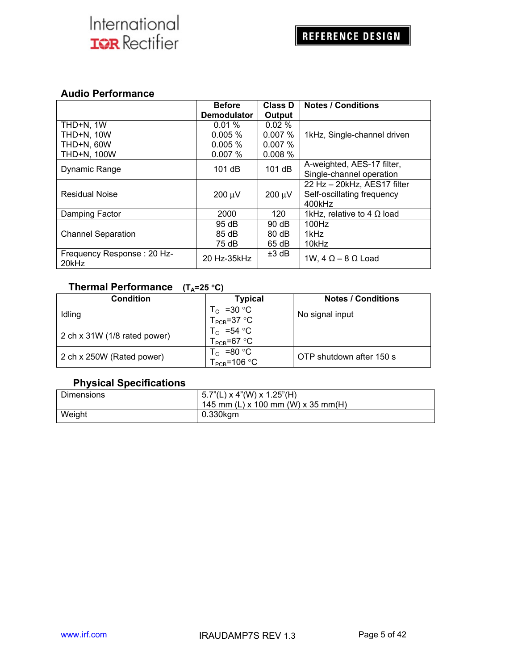#### **Audio Performance**

|                                     | <b>Before</b><br><b>Demodulator</b> | Class D<br>Output | <b>Notes / Conditions</b>         |
|-------------------------------------|-------------------------------------|-------------------|-----------------------------------|
| THD+N, 1W                           | 0.01%                               | 0.02%             |                                   |
| <b>THD+N, 10W</b>                   | $0.005 \%$                          | $0.007\%$         | 1kHz, Single-channel driven       |
| THD+N, 60W                          | $0.005 \%$                          | 0.007%            |                                   |
| THD+N, 100W                         | 0.007%                              | 0.008%            |                                   |
| Dynamic Range                       | 101dB                               | 101dB             | A-weighted, AES-17 filter,        |
|                                     |                                     |                   | Single-channel operation          |
|                                     |                                     |                   | 22 Hz - 20kHz, AES17 filter       |
| <b>Residual Noise</b>               | $200 \mu V$                         | $200 \mu V$       | Self-oscillating frequency        |
|                                     |                                     |                   | 400kHz                            |
| Damping Factor                      | 2000                                | 120               | 1kHz, relative to 4 $\Omega$ load |
|                                     | 95 dB                               | $90 \, dB$        | 100Hz                             |
| <b>Channel Separation</b>           | 85 dB                               | $80 \, \text{dB}$ | 1kHz                              |
|                                     | 75 dB                               | 65 dB             | 10kHz                             |
| Frequency Response: 20 Hz-<br>20kHz | 20 Hz-35kHz                         | $±3$ dB           | 1W, $4 \Omega - 8 \Omega$ Load    |

### **Thermal Performance** (T<sub>A</sub>=25 °C)

| Condition                    | Typical                                  | <b>Notes / Conditions</b> |
|------------------------------|------------------------------------------|---------------------------|
| Idling                       | $T_c$ =30 °C<br>$T_{\text{PCB}}$ =37 °C  | No signal input           |
| 2 ch x 31W (1/8 rated power) | $T_c$ =54 °C<br>$T_{\text{PCB}}$ =67 °C  |                           |
| 2 ch x 250W (Rated power)    | $T_c$ =80 °C<br>$T_{\text{PCB}}$ =106 °C | OTP shutdown after 150 s  |

### **Physical Specifications**

| <b>Dimensions</b> | $  5.7"$ (L) x 4"(W) x 1.25"(H)<br>145 mm (L) x 100 mm (W) x 35 mm(H) |
|-------------------|-----------------------------------------------------------------------|
| Weight            | 0.330kgm                                                              |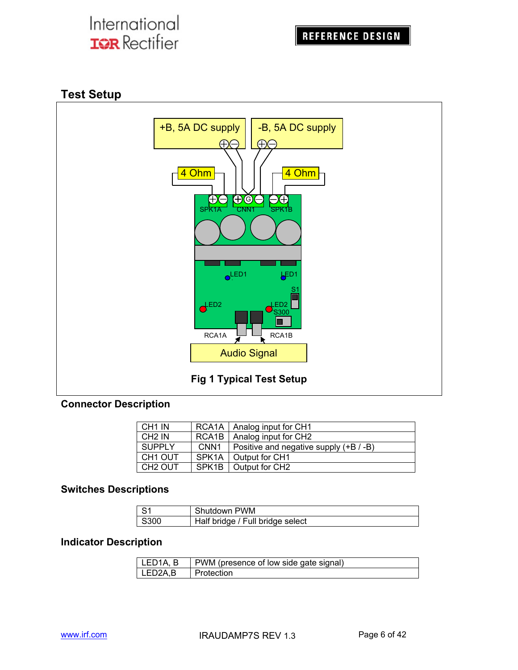## **Test Setup**



### **Connector Description**

| CH <sub>1</sub> IN  |                    | RCA1A   Analog input for CH1           |
|---------------------|--------------------|----------------------------------------|
| CH <sub>2</sub> IN  | RCA <sub>1</sub> B | Analog input for CH2                   |
| <b>SUPPLY</b>       | CNN <sub>1</sub>   | Positive and negative supply (+B / -B) |
| CH <sub>1</sub> OUT | SPK <sub>1</sub> A | Output for CH1                         |
| CH <sub>2</sub> OUT | SPK <sub>1B</sub>  | Output for CH <sub>2</sub>             |

### **Switches Descriptions**

| l S1 | Shutdown PWM                     |
|------|----------------------------------|
| S300 | Half bridge / Full bridge select |

### **Indicator Description**

| LED1A, B    | PWM (presence of low side gate signal) |
|-------------|----------------------------------------|
| $LED2A$ , B | I Protection                           |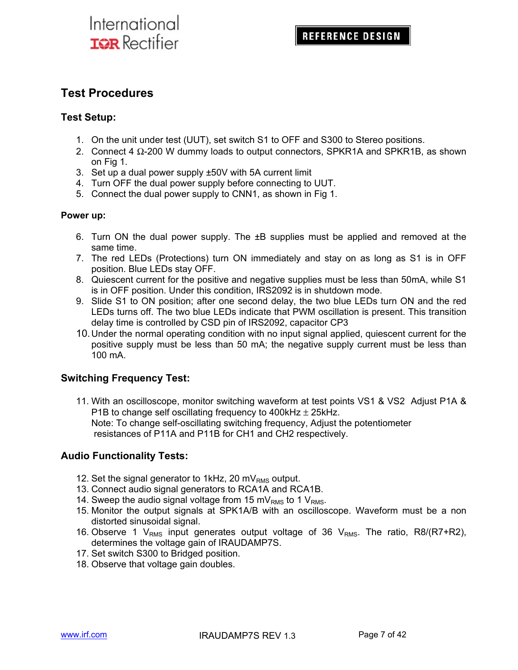## **Test Procedures**

#### **Test Setup:**

- 1. On the unit under test (UUT), set switch S1 to OFF and S300 to Stereo positions.
- 2. Connect 4 Ω-200 W dummy loads to output connectors, SPKR1A and SPKR1B, as shown on Fig 1.
- 3. Set up a dual power supply ±50V with 5A current limit
- 4. Turn OFF the dual power supply before connecting to UUT.
- 5. Connect the dual power supply to CNN1, as shown in Fig 1.

#### **Power up:**

- 6. Turn ON the dual power supply. The ±B supplies must be applied and removed at the same time.
- 7. The red LEDs (Protections) turn ON immediately and stay on as long as S1 is in OFF position. Blue LEDs stay OFF.
- 8. Quiescent current for the positive and negative supplies must be less than 50mA, while S1 is in OFF position. Under this condition, IRS2092 is in shutdown mode.
- 9. Slide S1 to ON position; after one second delay, the two blue LEDs turn ON and the red LEDs turns off. The two blue LEDs indicate that PWM oscillation is present. This transition delay time is controlled by CSD pin of IRS2092, capacitor CP3
- 10. Under the normal operating condition with no input signal applied, quiescent current for the positive supply must be less than 50 mA; the negative supply current must be less than 100 mA.

### **Switching Frequency Test:**

11. With an oscilloscope, monitor switching waveform at test points VS1 & VS2 Adjust P1A & P1B to change self oscillating frequency to 400kHz  $\pm$  25kHz. Note: To change self-oscillating switching frequency, Adjust the potentiometer resistances of P11A and P11B for CH1 and CH2 respectively.

### **Audio Functionality Tests:**

- 12. Set the signal generator to 1kHz, 20 m $V<sub>RMS</sub>$  output.
- 13. Connect audio signal generators to RCA1A and RCA1B.
- 14. Sweep the audio signal voltage from 15 mV<sub>RMS</sub> to 1 V<sub>RMS</sub>.
- 15. Monitor the output signals at SPK1A/B with an oscilloscope. Waveform must be a non distorted sinusoidal signal.
- 16. Observe 1  $V_{RMS}$  input generates output voltage of 36  $V_{RMS}$ . The ratio, R8/(R7+R2), determines the voltage gain of IRAUDAMP7S.
- 17. Set switch S300 to Bridged position.
- 18. Observe that voltage gain doubles.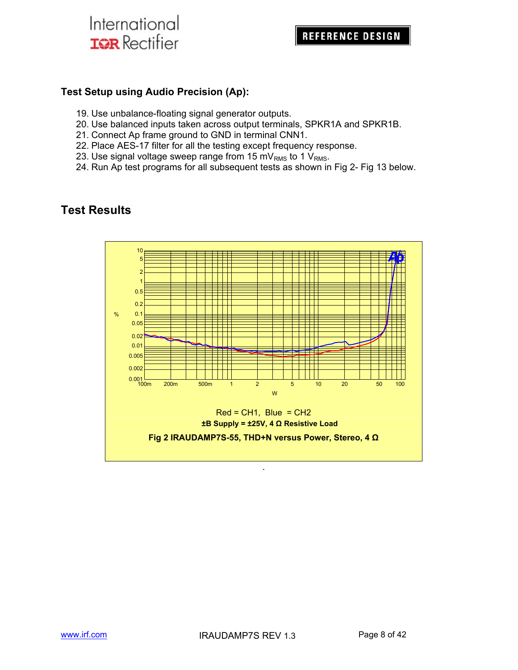### **Test Setup using Audio Precision (Ap):**

- 19. Use unbalance-floating signal generator outputs.
- 20. Use balanced inputs taken across output terminals, SPKR1A and SPKR1B.
- 21. Connect Ap frame ground to GND in terminal CNN1.
- 22. Place AES-17 filter for all the testing except frequency response.
- 23. Use signal voltage sweep range from 15 mV<sub>RMS</sub> to 1 V<sub>RMS</sub>.
- 24. Run Ap test programs for all subsequent tests as shown in Fig 2- Fig 13 below.

### **Test Results**

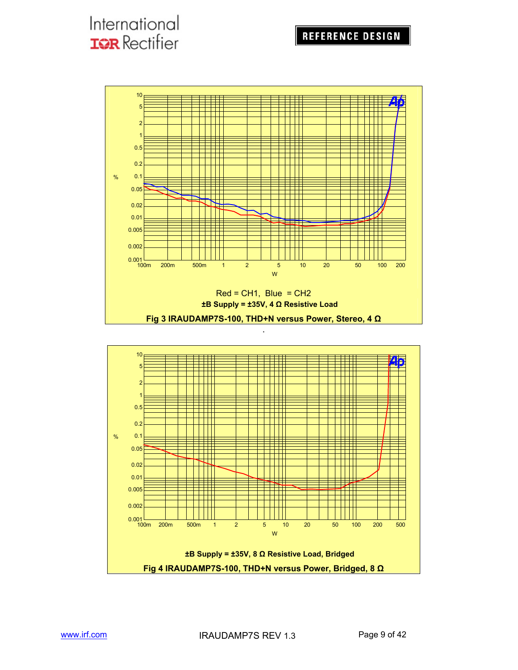### **REFERENCE DESIGN**

## International **IQR** Rectifier



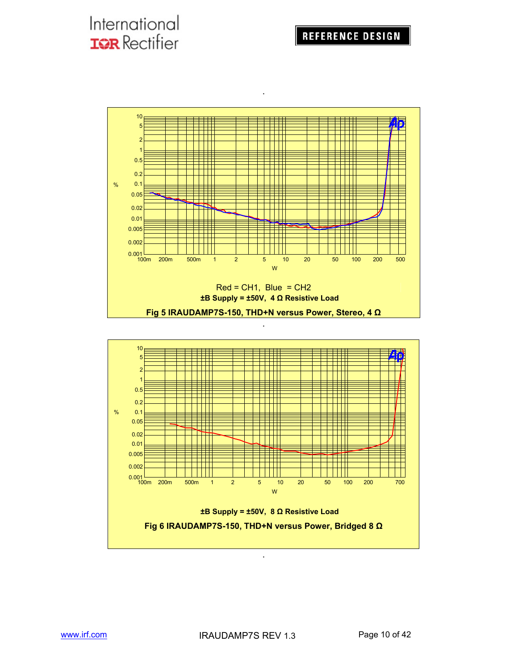

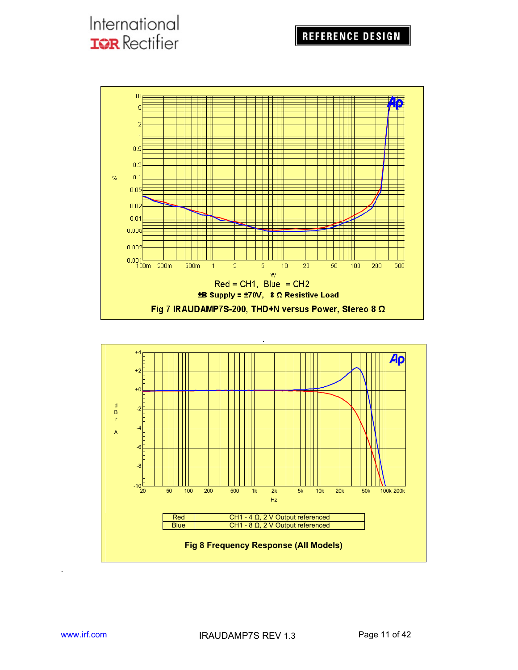### **REFERENCE DESIGN**

# International **IQR** Rectifier





.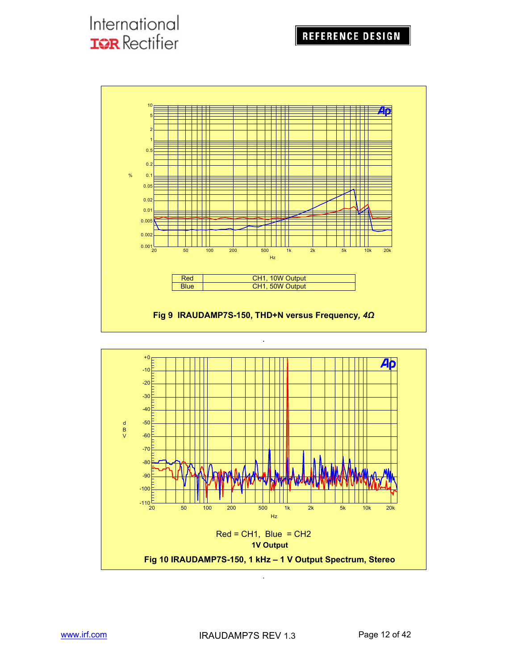

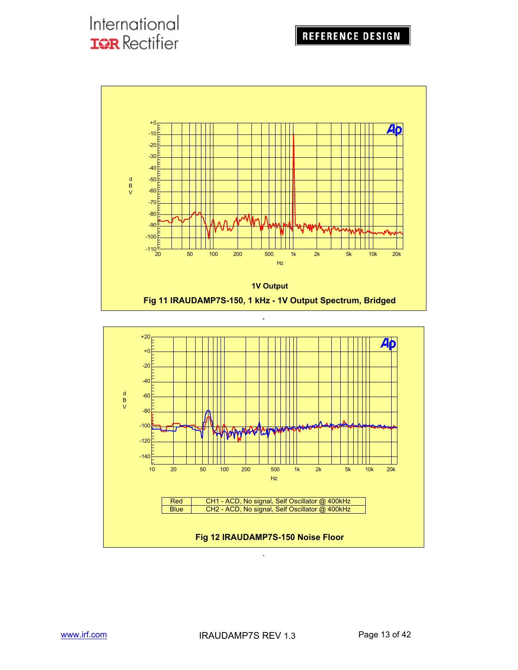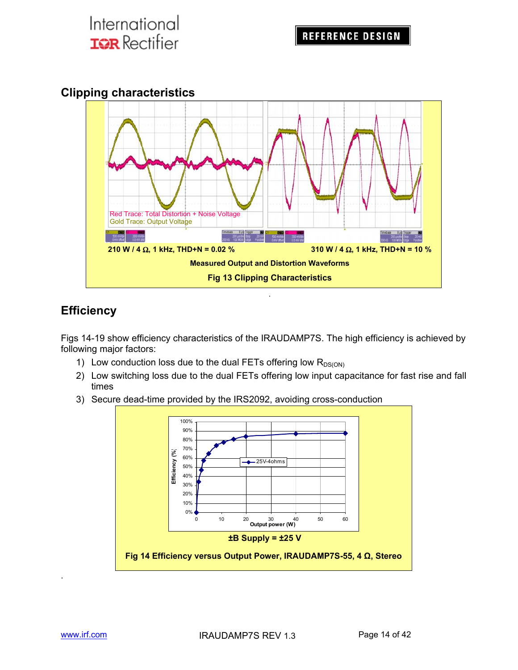### **Clipping characteristics**



## **Efficiency**

Figs 14-19 show efficiency characteristics of the IRAUDAMP7S. The high efficiency is achieved by following major factors:

- 1) Low conduction loss due to the dual FETs offering low  $R_{DS(ON)}$
- 2) Low switching loss due to the dual FETs offering low input capacitance for fast rise and fall times
- 3) Secure dead-time provided by the IRS2092, avoiding cross-conduction



.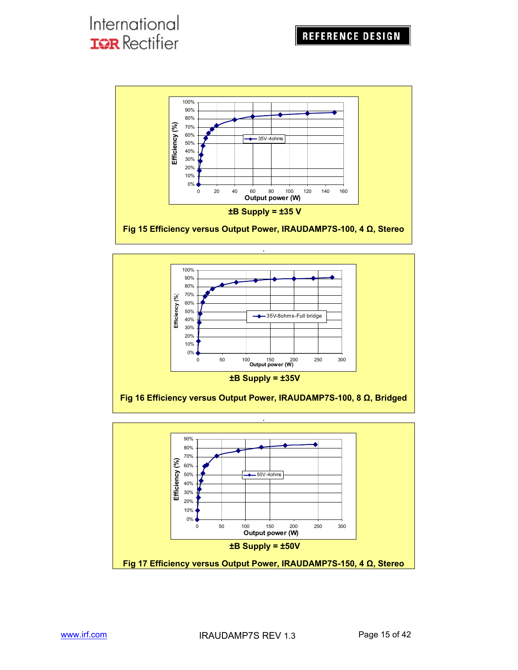



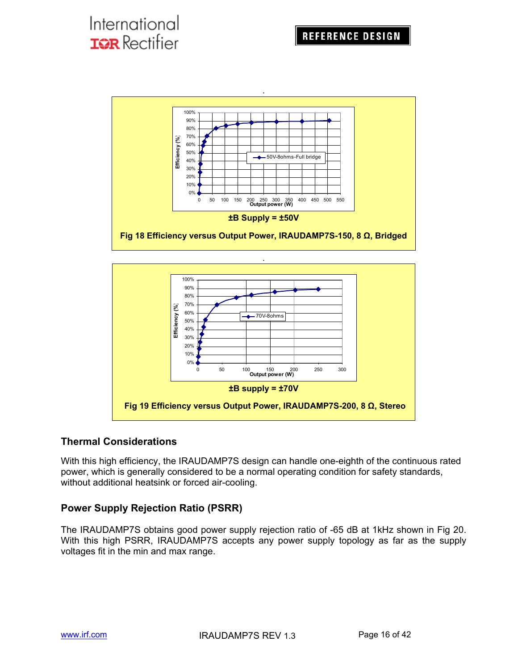



### **Thermal Considerations**

With this high efficiency, the IRAUDAMP7S design can handle one-eighth of the continuous rated power, which is generally considered to be a normal operating condition for safety standards, without additional heatsink or forced air-cooling.

### **Power Supply Rejection Ratio (PSRR)**

The IRAUDAMP7S obtains good power supply rejection ratio of -65 dB at 1kHz shown in Fig 20. With this high PSRR, IRAUDAMP7S accepts any power supply topology as far as the supply voltages fit in the min and max range.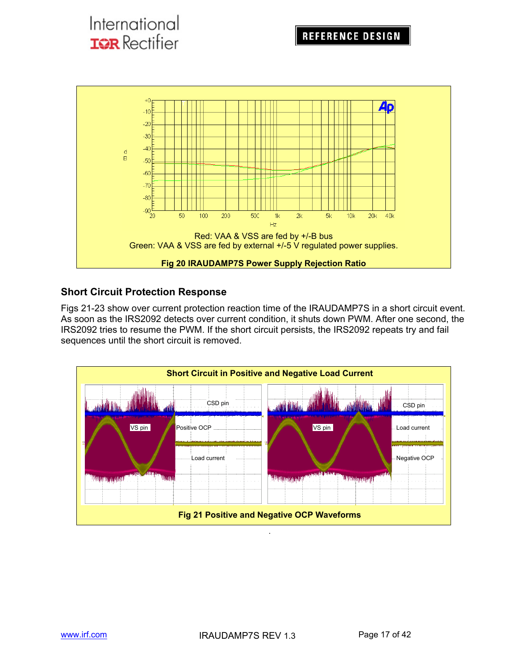

### **Short Circuit Protection Response**

Figs 21-23 show over current protection reaction time of the IRAUDAMP7S in a short circuit event. As soon as the IRS2092 detects over current condition, it shuts down PWM. After one second, the IRS2092 tries to resume the PWM. If the short circuit persists, the IRS2092 repeats try and fail sequences until the short circuit is removed.

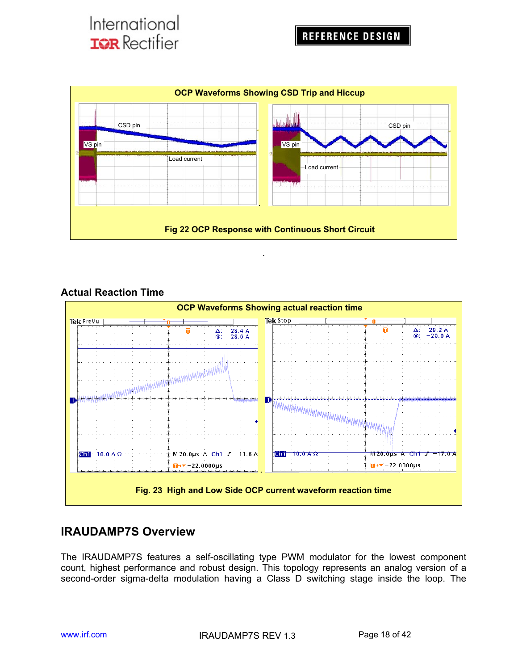

.

### **Actual Reaction Time**



### **IRAUDAMP7S Overview**

The IRAUDAMP7S features a self-oscillating type PWM modulator for the lowest component count, highest performance and robust design. This topology represents an analog version of a second-order sigma-delta modulation having a Class D switching stage inside the loop. The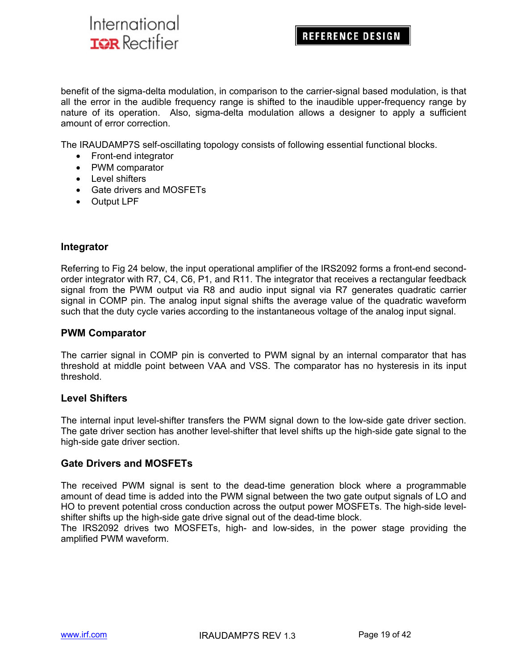### **REFERENCE DESIGN**

benefit of the sigma-delta modulation, in comparison to the carrier-signal based modulation, is that all the error in the audible frequency range is shifted to the inaudible upper-frequency range by nature of its operation. Also, sigma-delta modulation allows a designer to apply a sufficient amount of error correction.

The IRAUDAMP7S self-oscillating topology consists of following essential functional blocks.

- Front-end integrator
- PWM comparator
- Level shifters
- Gate drivers and MOSFETs
- Output LPF

#### **Integrator**

Referring to Fig 24 below, the input operational amplifier of the IRS2092 forms a front-end secondorder integrator with R7, C4, C6, P1, and R11. The integrator that receives a rectangular feedback signal from the PWM output via R8 and audio input signal via R7 generates quadratic carrier signal in COMP pin. The analog input signal shifts the average value of the quadratic waveform such that the duty cycle varies according to the instantaneous voltage of the analog input signal.

#### **PWM Comparator**

The carrier signal in COMP pin is converted to PWM signal by an internal comparator that has threshold at middle point between VAA and VSS. The comparator has no hysteresis in its input threshold.

#### **Level Shifters**

The internal input level-shifter transfers the PWM signal down to the low-side gate driver section. The gate driver section has another level-shifter that level shifts up the high-side gate signal to the high-side gate driver section.

#### **Gate Drivers and MOSFETs**

The received PWM signal is sent to the dead-time generation block where a programmable amount of dead time is added into the PWM signal between the two gate output signals of LO and HO to prevent potential cross conduction across the output power MOSFETs. The high-side levelshifter shifts up the high-side gate drive signal out of the dead-time block.

The IRS2092 drives two MOSFETs, high- and low-sides, in the power stage providing the amplified PWM waveform.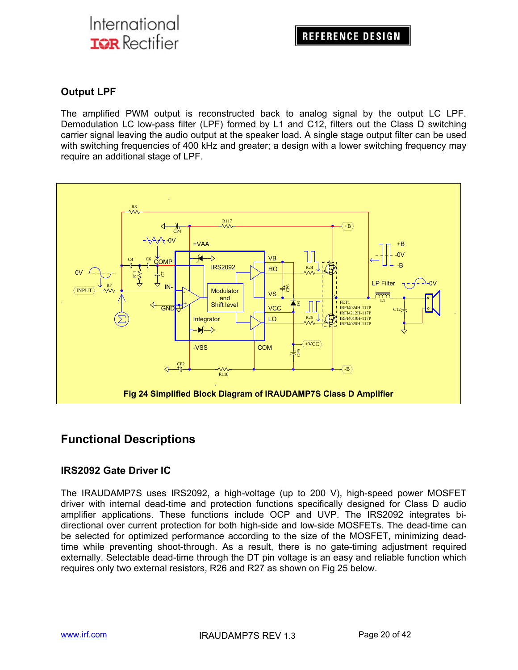### **Output LPF**

The amplified PWM output is reconstructed back to analog signal by the output LC LPF. Demodulation LC low-pass filter (LPF) formed by L1 and C12, filters out the Class D switching carrier signal leaving the audio output at the speaker load. A single stage output filter can be used with switching frequencies of 400 kHz and greater; a design with a lower switching frequency may require an additional stage of LPF.



### **Functional Descriptions**

### **IRS2092 Gate Driver IC**

The IRAUDAMP7S uses IRS2092, a high-voltage (up to 200 V), high-speed power MOSFET driver with internal dead-time and protection functions specifically designed for Class D audio amplifier applications. These functions include OCP and UVP. The IRS2092 integrates bidirectional over current protection for both high-side and low-side MOSFETs. The dead-time can be selected for optimized performance according to the size of the MOSFET, minimizing deadtime while preventing shoot-through. As a result, there is no gate-timing adjustment required externally. Selectable dead-time through the DT pin voltage is an easy and reliable function which requires only two external resistors, R26 and R27 as shown on Fig 25 below.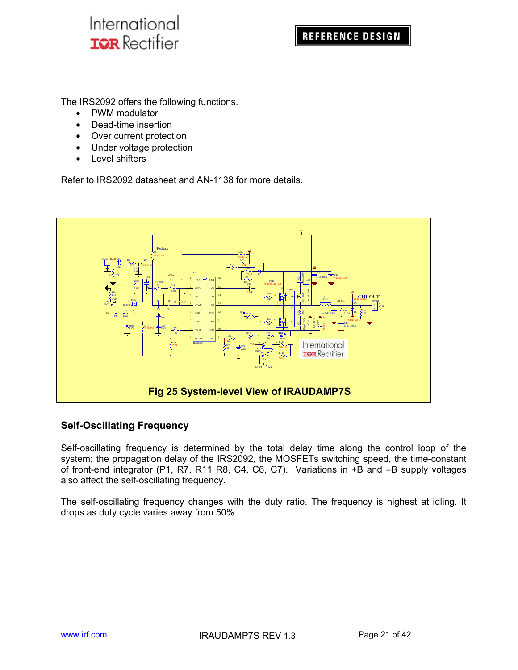The IRS2092 offers the following functions.

- PWM modulator
- Dead-time insertion
- Over current protection
- Under voltage protection
- Level shifters

Refer to IRS2092 datasheet and AN-1138 for more details.



### **Self-Oscillating Frequency**

Self-oscillating frequency is determined by the total delay time along the control loop of the system; the propagation delay of the IRS2092, the MOSFETs switching speed, the time-constant of front-end integrator (P1, R7, R11 R8, C4, C6, C7). Variations in +B and –B supply voltages also affect the self-oscillating frequency.

The self-oscillating frequency changes with the duty ratio. The frequency is highest at idling. It drops as duty cycle varies away from 50%.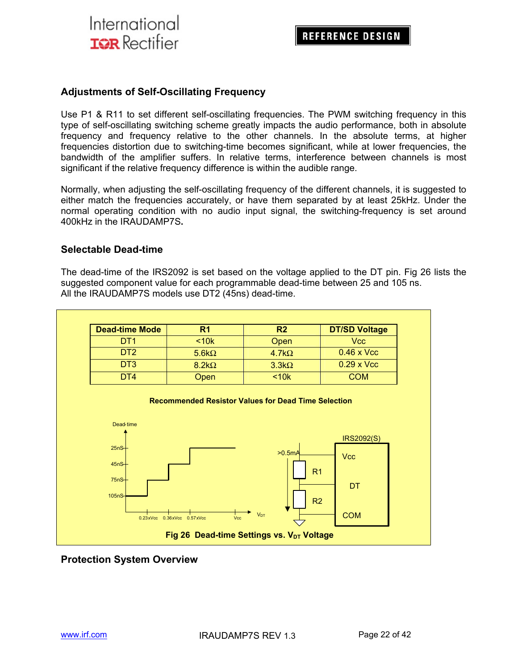#### **Adjustments of Self-Oscillating Frequency**

Use P1 & R11 to set different self-oscillating frequencies. The PWM switching frequency in this type of self-oscillating switching scheme greatly impacts the audio performance, both in absolute frequency and frequency relative to the other channels. In the absolute terms, at higher frequencies distortion due to switching-time becomes significant, while at lower frequencies, the bandwidth of the amplifier suffers. In relative terms, interference between channels is most significant if the relative frequency difference is within the audible range.

Normally, when adjusting the self-oscillating frequency of the different channels, it is suggested to either match the frequencies accurately, or have them separated by at least 25kHz. Under the normal operating condition with no audio input signal, the switching-frequency is set around 400kHz in the IRAUDAMP7S**.**

#### **Selectable Dead-time**

The dead-time of the IRS2092 is set based on the voltage applied to the DT pin. Fig 26 lists the suggested component value for each programmable dead-time between 25 and 105 ns. All the IRAUDAMP7S models use DT2 (45ns) dead-time.

| <b>Dead-time Mode</b> | R <sub>1</sub> | R <sub>2</sub> | <b>DT/SD Voltage</b> |
|-----------------------|----------------|----------------|----------------------|
| DT <sub>1</sub>       | $<$ 10 $k$     | Open           | Vcc                  |
| DT <sub>2</sub>       | $5.6k\Omega$   | 4.7 $k\Omega$  | $0.46 \times$ Vcc    |
| D <sub>T</sub> 3      | $8.2k\Omega$   | $3.3k\Omega$   | $0.29 \times$ Vcc    |
| DT4                   | <b>Open</b>    | < 10k          | COM                  |

#### **Recommended Resistor Values for Dead Time Selection**



#### **Protection System Overview**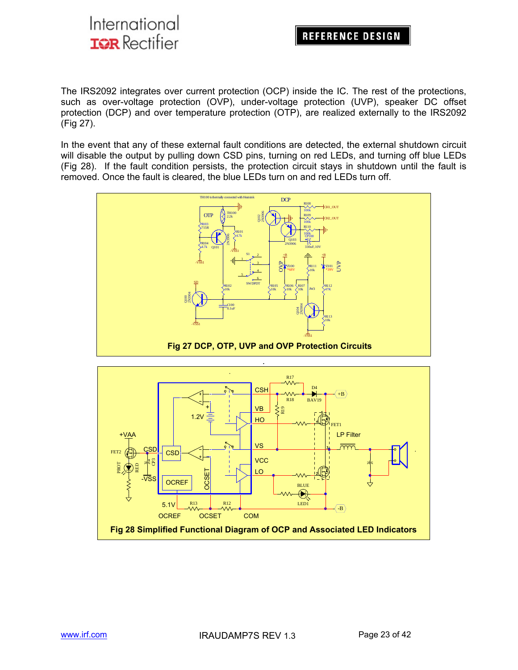### **REFERENCE DESIGN**

The IRS2092 integrates over current protection (OCP) inside the IC. The rest of the protections, such as over-voltage protection (OVP), under-voltage protection (UVP), speaker DC offset protection (DCP) and over temperature protection (OTP), are realized externally to the IRS2092 (Fig 27).

In the event that any of these external fault conditions are detected, the external shutdown circuit will disable the output by pulling down CSD pins, turning on red LEDs, and turning off blue LEDs (Fig 28). If the fault condition persists, the protection circuit stays in shutdown until the fault is removed. Once the fault is cleared, the blue LEDs turn on and red LEDs turn off.



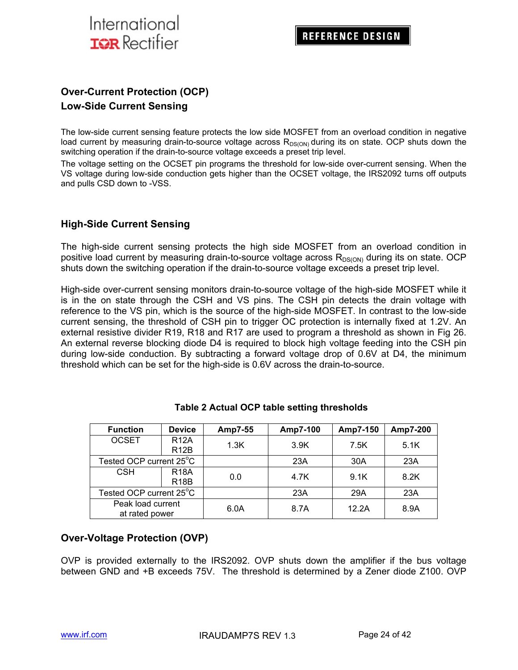

### **Over-Current Protection (OCP) Low-Side Current Sensing**

The low-side current sensing feature protects the low side MOSFET from an overload condition in negative load current by measuring drain-to-source voltage across  $R_{DS(ON)}$  during its on state. OCP shuts down the switching operation if the drain-to-source voltage exceeds a preset trip level.

The voltage setting on the OCSET pin programs the threshold for low-side over-current sensing. When the VS voltage during low-side conduction gets higher than the OCSET voltage, the IRS2092 turns off outputs and pulls CSD down to -VSS.

#### **High-Side Current Sensing**

The high-side current sensing protects the high side MOSFET from an overload condition in positive load current by measuring drain-to-source voltage across  $R_{DS(ON)}$  during its on state. OCP shuts down the switching operation if the drain-to-source voltage exceeds a preset trip level.

High-side over-current sensing monitors drain-to-source voltage of the high-side MOSFET while it is in the on state through the CSH and VS pins. The CSH pin detects the drain voltage with reference to the VS pin, which is the source of the high-side MOSFET. In contrast to the low-side current sensing, the threshold of CSH pin to trigger OC protection is internally fixed at 1.2V. An external resistive divider R19, R18 and R17 are used to program a threshold as shown in Fig 26. An external reverse blocking diode D4 is required to block high voltage feeding into the CSH pin during low-side conduction. By subtracting a forward voltage drop of 0.6V at D4, the minimum threshold which can be set for the high-side is 0.6V across the drain-to-source.

| <b>Function</b>                     | <b>Device</b>                    | Amp7-55 | Amp7-100 | Amp7-150 | Amp7-200 |
|-------------------------------------|----------------------------------|---------|----------|----------|----------|
| <b>OCSET</b>                        | <b>R12A</b><br>R <sub>12</sub> B | 1.3K    | 3.9K     | 7.5K     | 5.1K     |
| Tested OCP current 25°C             |                                  |         | 23A      | 30A      | 23A      |
| <b>CSH</b>                          | <b>R18A</b><br><b>R18B</b>       | 0.0     | 4.7K     | 9.1K     | 8.2K     |
| Tested OCP current 25°C             |                                  |         | 23A      | 29A      | 23A      |
| Peak load current<br>at rated power |                                  | 6.0A    | 8.7A     | 12.2A    | 8.9A     |

#### **Table 2 Actual OCP table setting thresholds**

#### **Over-Voltage Protection (OVP)**

OVP is provided externally to the IRS2092. OVP shuts down the amplifier if the bus voltage between GND and +B exceeds 75V. The threshold is determined by a Zener diode Z100. OVP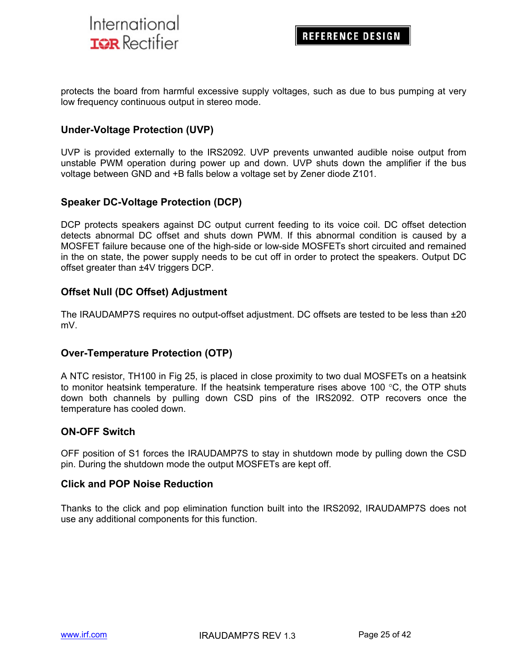

protects the board from harmful excessive supply voltages, such as due to bus pumping at very low frequency continuous output in stereo mode.

#### **Under-Voltage Protection (UVP)**

UVP is provided externally to the IRS2092. UVP prevents unwanted audible noise output from unstable PWM operation during power up and down. UVP shuts down the amplifier if the bus voltage between GND and +B falls below a voltage set by Zener diode Z101.

#### **Speaker DC-Voltage Protection (DCP)**

DCP protects speakers against DC output current feeding to its voice coil. DC offset detection detects abnormal DC offset and shuts down PWM. If this abnormal condition is caused by a MOSFET failure because one of the high-side or low-side MOSFETs short circuited and remained in the on state, the power supply needs to be cut off in order to protect the speakers. Output DC offset greater than ±4V triggers DCP.

#### **Offset Null (DC Offset) Adjustment**

The IRAUDAMP7S requires no output-offset adjustment. DC offsets are tested to be less than ±20 mV.

#### **Over-Temperature Protection (OTP)**

A NTC resistor, TH100 in Fig 25, is placed in close proximity to two dual MOSFETs on a heatsink to monitor heatsink temperature. If the heatsink temperature rises above 100 °C, the OTP shuts down both channels by pulling down CSD pins of the IRS2092. OTP recovers once the temperature has cooled down.

#### **ON-OFF Switch**

OFF position of S1 forces the IRAUDAMP7S to stay in shutdown mode by pulling down the CSD pin. During the shutdown mode the output MOSFETs are kept off.

#### **Click and POP Noise Reduction**

Thanks to the click and pop elimination function built into the IRS2092, IRAUDAMP7S does not use any additional components for this function.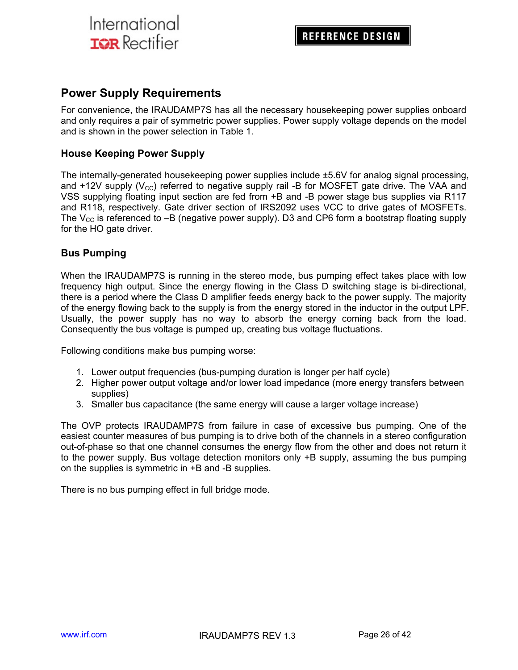### **Power Supply Requirements**

For convenience, the IRAUDAMP7S has all the necessary housekeeping power supplies onboard and only requires a pair of symmetric power supplies. Power supply voltage depends on the model and is shown in the power selection in Table 1.

#### **House Keeping Power Supply**

The internally-generated housekeeping power supplies include ±5.6V for analog signal processing, and  $+12V$  supply ( $V_{\text{cc}}$ ) referred to negative supply rail -B for MOSFET gate drive. The VAA and VSS supplying floating input section are fed from +B and -B power stage bus supplies via R117 and R118, respectively. Gate driver section of IRS2092 uses VCC to drive gates of MOSFETs. The  $V_{CC}$  is referenced to  $-B$  (negative power supply). D3 and CP6 form a bootstrap floating supply for the HO gate driver.

#### **Bus Pumping**

When the IRAUDAMP7S is running in the stereo mode, bus pumping effect takes place with low frequency high output. Since the energy flowing in the Class D switching stage is bi-directional, there is a period where the Class D amplifier feeds energy back to the power supply. The majority of the energy flowing back to the supply is from the energy stored in the inductor in the output LPF. Usually, the power supply has no way to absorb the energy coming back from the load. Consequently the bus voltage is pumped up, creating bus voltage fluctuations.

Following conditions make bus pumping worse:

- 1. Lower output frequencies (bus-pumping duration is longer per half cycle)
- 2. Higher power output voltage and/or lower load impedance (more energy transfers between supplies)
- 3. Smaller bus capacitance (the same energy will cause a larger voltage increase)

The OVP protects IRAUDAMP7S from failure in case of excessive bus pumping. One of the easiest counter measures of bus pumping is to drive both of the channels in a stereo configuration out-of-phase so that one channel consumes the energy flow from the other and does not return it to the power supply. Bus voltage detection monitors only +B supply, assuming the bus pumping on the supplies is symmetric in +B and -B supplies.

There is no bus pumping effect in full bridge mode.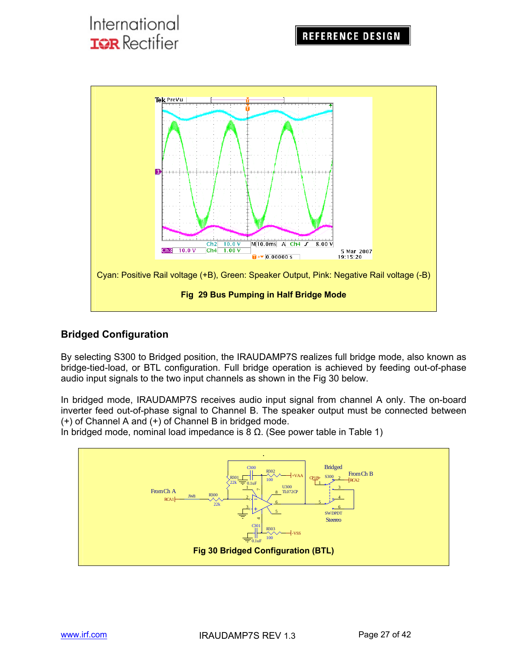

### **Bridged Configuration**

By selecting S300 to Bridged position, the IRAUDAMP7S realizes full bridge mode, also known as bridge-tied-load, or BTL configuration. Full bridge operation is achieved by feeding out-of-phase audio input signals to the two input channels as shown in the Fig 30 below.

In bridged mode, IRAUDAMP7S receives audio input signal from channel A only. The on-board inverter feed out-of-phase signal to Channel B. The speaker output must be connected between (+) of Channel A and (+) of Channel B in bridged mode.

In bridged mode, nominal load impedance is 8  $Ω$ . (See power table in Table 1)

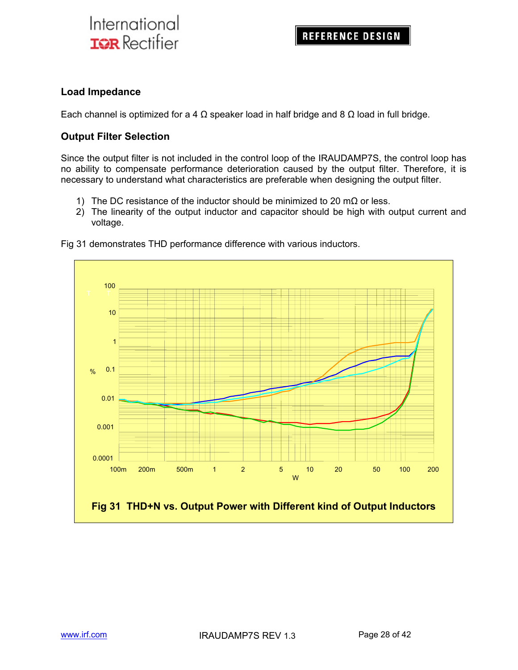#### **Load Impedance**

Each channel is optimized for a 4  $\Omega$  speaker load in half bridge and 8  $\Omega$  load in full bridge.

#### **Output Filter Selection**

Since the output filter is not included in the control loop of the IRAUDAMP7S, the control loop has no ability to compensate performance deterioration caused by the output filter. Therefore, it is necessary to understand what characteristics are preferable when designing the output filter.

- 1) The DC resistance of the inductor should be minimized to 20 m $\Omega$  or less.
- 2) The linearity of the output inductor and capacitor should be high with output current and voltage.



Fig 31 demonstrates THD performance difference with various inductors.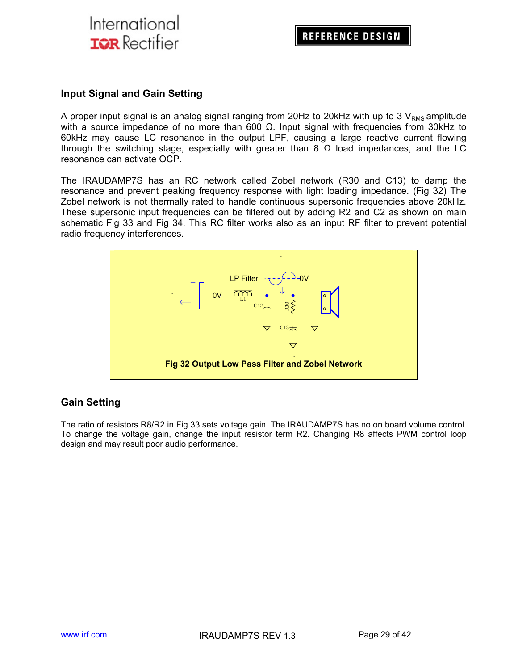#### **Input Signal and Gain Setting**

A proper input signal is an analog signal ranging from 20Hz to 20kHz with up to 3  $V_{RMS}$  amplitude with a source impedance of no more than 600  $Ω$ . Input signal with frequencies from 30kHz to 60kHz may cause LC resonance in the output LPF, causing a large reactive current flowing through the switching stage, especially with greater than 8  $\Omega$  load impedances, and the LC resonance can activate OCP.

The IRAUDAMP7S has an RC network called Zobel network (R30 and C13) to damp the resonance and prevent peaking frequency response with light loading impedance. (Fig 32) The Zobel network is not thermally rated to handle continuous supersonic frequencies above 20kHz. These supersonic input frequencies can be filtered out by adding R2 and C2 as shown on main schematic Fig 33 and Fig 34. This RC filter works also as an input RF filter to prevent potential radio frequency interferences.



### **Gain Setting**

The ratio of resistors R8/R2 in Fig 33 sets voltage gain. The IRAUDAMP7S has no on board volume control. To change the voltage gain, change the input resistor term R2. Changing R8 affects PWM control loop design and may result poor audio performance.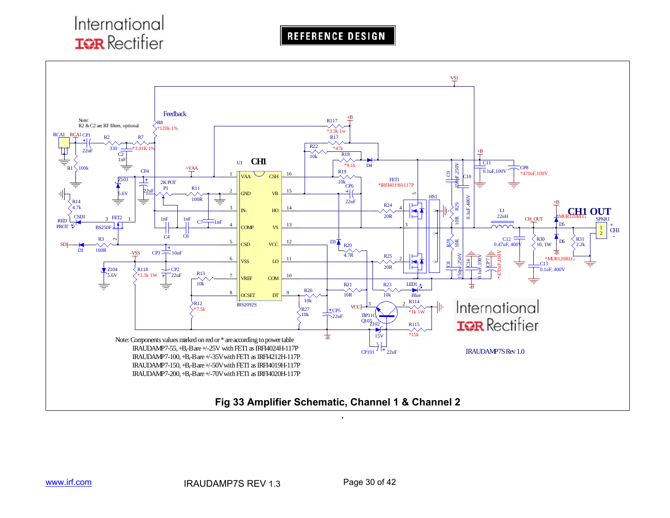**REFERENCE DESIGN** 

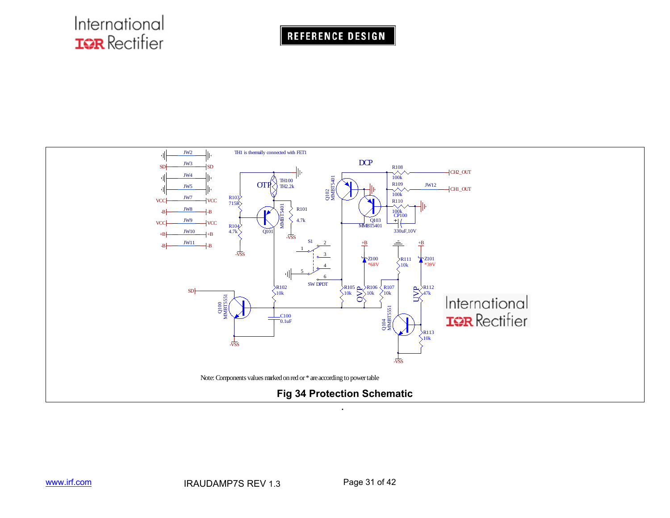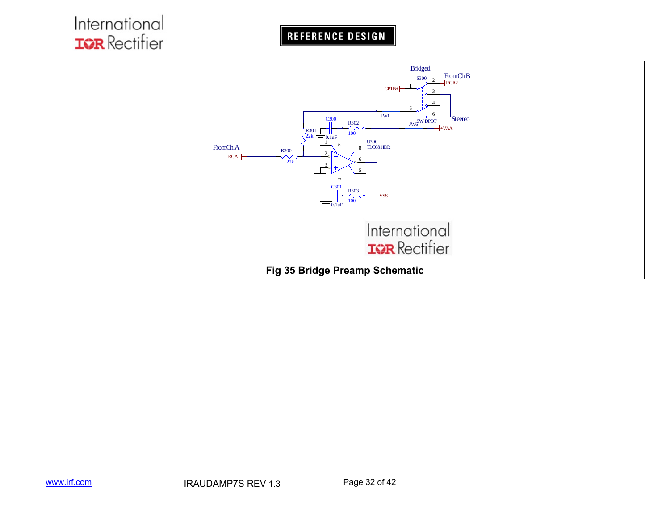**REFERENCE DESIGN** 

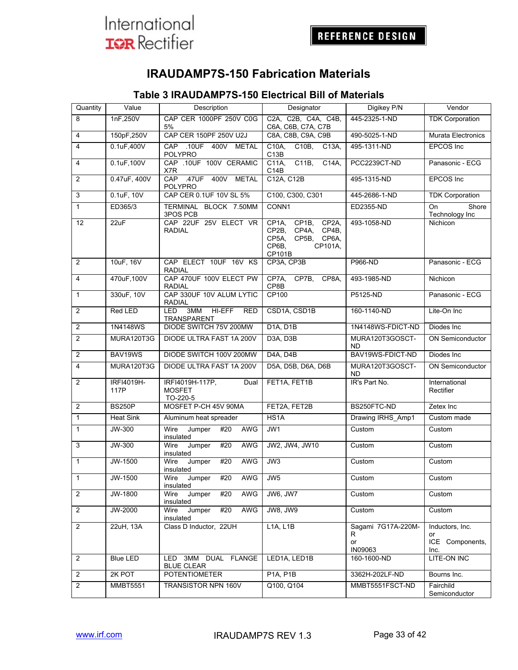

## **IRAUDAMP7S-150 Fabrication Materials**

### **Table 3 IRAUDAMP7S-150 Electrical Bill of Materials**

| Quantity       | Value              | Description                                          | Designator                                                                                                            | Digikey P/N                                     | Vendor                                           |
|----------------|--------------------|------------------------------------------------------|-----------------------------------------------------------------------------------------------------------------------|-------------------------------------------------|--------------------------------------------------|
| 8              | 1nF,250V           | CAP CER 1000PF 250V C0G<br>5%                        | C2A, C2B, C4A, C4B,<br>C6A, C6B, C7A, C7B                                                                             | 445-2325-1-ND                                   | <b>TDK Corporation</b>                           |
| $\overline{4}$ | 150pF,250V         | CAP CER 150PF 250V U2J                               | C8A, C8B, C9A, C9B                                                                                                    | 490-5025-1-ND                                   | <b>Murata Electronics</b>                        |
| 4              | 0.1uF,400V         | CAP<br>.10UF 400V<br><b>METAL</b><br><b>POLYPRO</b>  | C10B<br>C10A,<br>$\overline{C13A}$ ,<br>C <sub>13</sub> B                                                             | 495-1311-ND                                     | <b>EPCOS</b> Inc                                 |
| 4              | 0.1uF,100V         | CAP .10UF 100V CERAMIC<br>X7R                        | C11B<br>C14A,<br>C11A,<br>C14B                                                                                        | PCC2239CT-ND                                    | Panasonic - ECG                                  |
| $\overline{2}$ | 0.47uF, 400V       | CAP .47UF 400V METAL<br>POLYPRO                      | C12A, C12B                                                                                                            | 495-1315-ND                                     | EPCOS Inc                                        |
| 3              | 0.1uF, 10V         | CAP CER 0.1UF 10V SL 5%                              | C100, C300, C301                                                                                                      | 445-2686-1-ND                                   | <b>TDK Corporation</b>                           |
| $\mathbf{1}$   | ED365/3            | TERMINAL BLOCK 7.50MM<br>3POS PCB                    | CONN1                                                                                                                 | ED2355-ND                                       | Shore<br>On<br>Technology Inc                    |
| 12             | 22uF               | CAP 22UF 25V ELECT VR<br><b>RADIAL</b>               | CP <sub>1</sub> A,<br>CP1B,<br>CP2A,<br>CP2B,<br>CP4A,<br>CP4B,<br>CP5A,<br>CP5B, CP6A,<br>CP6B,<br>CP101A,<br>CP101B | 493-1058-ND                                     | Nichicon                                         |
| 2              | 10uF, 16V          | CAP ELECT 10UF 16V KS<br><b>RADIAL</b>               | CP3A, CP3B                                                                                                            | P966-ND                                         | Panasonic - ECG                                  |
| 4              | 470uF,100V         | CAP 470UF 100V ELECT PW<br><b>RADIAL</b>             | CP7A,<br>CP7B,<br>CP8A,<br>CP8B                                                                                       | 493-1985-ND                                     | <b>Nichicon</b>                                  |
| $\mathbf{1}$   | 330uF, 10V         | CAP 330UF 10V ALUM LYTIC<br><b>RADIAL</b>            | CP100                                                                                                                 | P5125-ND                                        | Panasonic - ECG                                  |
| $\overline{2}$ | Red LED            | 3MM<br>HI-EFF<br>LED<br><b>RED</b><br>TRANSPARENT    | CSD1A, CSD1B                                                                                                          | 160-1140-ND                                     | Lite-On Inc                                      |
| $\overline{c}$ | 1N4148WS           | DIODE SWITCH 75V 200MW                               | <b>D1A, D1B</b>                                                                                                       | 1N4148WS-FDICT-ND                               | Diodes Inc.                                      |
| $\overline{2}$ | MURA120T3G         | DIODE ULTRA FAST 1A 200V                             | D3A, D3B                                                                                                              | MURA120T3GOSCT-<br><b>ND</b>                    | <b>ON Semiconductor</b>                          |
| $\overline{c}$ | BAV19WS            | DIODE SWITCH 100V 200MW                              | D4A, D4B                                                                                                              | BAV19WS-FDICT-ND                                | Diodes Inc                                       |
| $\overline{4}$ | MURA120T3G         | DIODE ULTRA FAST 1A 200V                             | D5A, D5B, D6A, D6B                                                                                                    | MURA120T3GOSCT-<br><b>ND</b>                    | <b>ON Semiconductor</b>                          |
| 2              | IRFI4019H-<br>117P | IRFI4019H-117P.<br>Dual<br><b>MOSFET</b><br>TO-220-5 | FET1A, FET1B                                                                                                          | IR's Part No.                                   | International<br>Rectifier                       |
| $\overline{c}$ | <b>BS250P</b>      | MOSFET P-CH 45V 90MA                                 | FET2A, FET2B                                                                                                          | BS250FTC-ND                                     | Zetex Inc                                        |
| $\mathbf{1}$   | <b>Heat Sink</b>   | Aluminum heat spreader                               | HS <sub>1</sub> A                                                                                                     | Drawing IRHS_Amp1                               | Custom made                                      |
| $\mathbf{1}$   | JW-300             | Wire<br>Jumper<br>#20<br>AWG<br>insulated            | JW1                                                                                                                   | Custom                                          | Custom                                           |
| 3              | JW-300             | #20<br>Wire<br>Jumper<br>AWG<br>insulated            | JW2, JW4, JW10                                                                                                        | Custom                                          | Custom                                           |
| $\mathbf{1}$   | JW-1500            | #20<br>AWG<br>Wire<br>Jumper<br>insulated            | JW3                                                                                                                   | Custom                                          | Custom                                           |
| $\overline{1}$ | JW-1500            | AWG<br>Wire<br>#20<br>Jumper<br>insulated            | JW <sub>5</sub>                                                                                                       | Custom                                          | Custom                                           |
| $\overline{2}$ | JW-1800            | <b>AWG</b><br>Wire<br>Jumper<br>#20<br>insulated     | JW6, JW7                                                                                                              | Custom                                          | Custom                                           |
| 2              | JW-2000            | Jumper<br>#20<br>AWG<br>Wire<br>insulated            | <b>JW8, JW9</b>                                                                                                       | Custom                                          | Custom                                           |
| $\overline{2}$ | 22uH, 13A          | Class D Inductor, 22UH                               | L1A, L1B                                                                                                              | Sagami 7G17A-220M-<br>R<br>or<br><b>IN09063</b> | Inductors, Inc.<br>or<br>ICE Components,<br>Inc. |
| $\overline{2}$ | <b>Blue LED</b>    | 3MM DUAL FLANGE<br>LED<br><b>BLUE CLEAR</b>          | LED1A, LED1B                                                                                                          | 160-1600-ND                                     | LITE-ON INC                                      |
| $\overline{2}$ | 2K POT             | <b>POTENTIOMETER</b>                                 | <b>P1A, P1B</b>                                                                                                       | 3362H-202LF-ND                                  | Bourns Inc.                                      |
| $\overline{2}$ | <b>MMBT5551</b>    | <b>TRANSISTOR NPN 160V</b>                           | Q100, Q104                                                                                                            | MMBT5551FSCT-ND                                 | Fairchild<br>Semiconductor                       |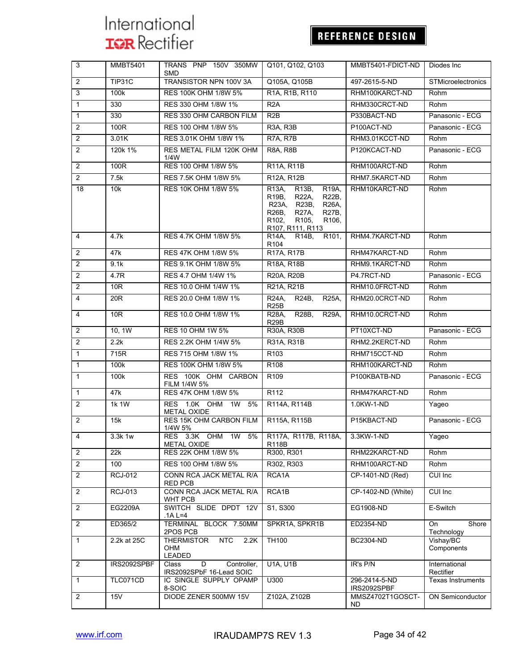## REFERENCE DESIGN

| 3              | <b>MMBT5401</b> | TRANS PNP 150V 350MW<br><b>SMD</b>                                 | Q101, Q102, Q103                                                                                                                                                                                             | MMBT5401-FDICT-ND            | Diodes Inc.                      |
|----------------|-----------------|--------------------------------------------------------------------|--------------------------------------------------------------------------------------------------------------------------------------------------------------------------------------------------------------|------------------------------|----------------------------------|
| 2              | TIP31C          | TRANSISTOR NPN 100V 3A                                             | Q105A, Q105B                                                                                                                                                                                                 | 497-2615-5-ND                | <b>STMicroelectronics</b>        |
| 3              | 100k            | RES 100K OHM 1/8W 5%                                               | R1A, R1B, R110                                                                                                                                                                                               | RHM100KARCT-ND               | Rohm                             |
| $\mathbf 1$    | 330             | RES 330 OHM 1/8W 1%                                                | R <sub>2</sub> A                                                                                                                                                                                             | RHM330CRCT-ND                | Rohm                             |
| $\mathbf{1}$   | 330             | RES 330 OHM CARBON FILM                                            | R2B                                                                                                                                                                                                          | P330BACT-ND                  | Panasonic - ECG                  |
| $\overline{2}$ | 100R            | RES 100 OHM 1/8W 5%                                                | R <sub>3</sub> A, R <sub>3</sub> B                                                                                                                                                                           | P100ACT-ND                   | Panasonic - ECG                  |
| $\overline{2}$ | 3.01K           | RES 3.01K OHM 1/8W 1%                                              | R7A, R7B                                                                                                                                                                                                     | RHM3.01KCCT-ND               | Rohm                             |
| 2              | 120k 1%         | RES METAL FILM 120K OHM<br>1/4W                                    | <b>R8A, R8B</b>                                                                                                                                                                                              | P120KCACT-ND                 | Panasonic - ECG                  |
| 2              | 100R            | RES 100 OHM 1/8W 5%                                                | R11A, R11B                                                                                                                                                                                                   | RHM100ARCT-ND                | Rohm                             |
| $\overline{2}$ | 7.5k            | RES 7.5K OHM 1/8W 5%                                               | R12A, R12B                                                                                                                                                                                                   | RHM7.5KARCT-ND               | Rohm                             |
| 18             | 10k             | RES 10K OHM 1/8W 5%                                                | R13A,<br>R13B,<br>R19A,<br>R19B,<br>R22A,<br>R22B,<br><b>R23B,</b><br>R23A,<br><b>R26A</b><br>R26B,<br><b>R27A,</b><br>R27B,<br>R <sub>102</sub><br>R <sub>105</sub><br>R <sub>106</sub><br>R107, R111, R113 | RHM10KARCT-ND                | Rohm                             |
| 4              | 4.7k            | RES 4.7K OHM 1/8W 5%                                               | R14A,<br>R <sub>14</sub> B,<br>R <sub>101</sub><br>R <sub>104</sub>                                                                                                                                          | RHM4.7KARCT-ND               | Rohm                             |
| $\overline{2}$ | 47k             | RES 47K OHM 1/8W 5%                                                | R17A, R17B                                                                                                                                                                                                   | RHM47KARCT-ND                | Rohm                             |
| $\overline{2}$ | 9.1k            | RES 9.1K OHM 1/8W 5%                                               | R18A, R18B                                                                                                                                                                                                   | RHM9.1KARCT-ND               | Rohm                             |
| $\overline{2}$ | 4.7R            | RES 4.7 OHM 1/4W 1%                                                | R20A, R20B                                                                                                                                                                                                   | P4.7RCT-ND                   | Panasonic - ECG                  |
| $\overline{2}$ | 10 <sub>R</sub> | RES 10.0 OHM 1/4W 1%                                               | R21A, R21B                                                                                                                                                                                                   | RHM10.0FRCT-ND               | Rohm                             |
| $\overline{4}$ | 20 <sub>R</sub> | RES 20.0 OHM 1/8W 1%                                               | R24A,<br>R24B,<br><b>R25A</b><br><b>R25B</b>                                                                                                                                                                 | RHM20.0CRCT-ND               | Rohm                             |
| 4              | 10 <sub>R</sub> | RES 10.0 OHM 1/8W 1%                                               | R28B,<br>R28A,<br><b>R29A.</b><br>R <sub>29</sub> B                                                                                                                                                          | RHM10.0CRCT-ND               | Rohm                             |
| 2              | 10, 1W          | <b>RES 10 OHM 1W 5%</b>                                            | R30A, R30B                                                                                                                                                                                                   | PT10XCT-ND                   | Panasonic - ECG                  |
| $\overline{2}$ | 2.2k            | RES 2.2K OHM 1/4W 5%                                               | R31A, R31B                                                                                                                                                                                                   | RHM2.2KERCT-ND               | Rohm                             |
| $\mathbf{1}$   | 715R            | RES 715 OHM 1/8W 1%                                                | R <sub>103</sub>                                                                                                                                                                                             | RHM715CCT-ND                 | Rohm                             |
| $\mathbf{1}$   | 100k            | RES 100K OHM 1/8W 5%                                               | R <sub>108</sub>                                                                                                                                                                                             | RHM100KARCT-ND               | Rohm                             |
| $\mathbf{1}$   | 100k            | RES 100K OHM CARBON<br>FILM 1/4W 5%                                | R <sub>109</sub>                                                                                                                                                                                             | P100KBATB-ND                 | Panasonic - ECG                  |
| $\mathbf{1}$   | 47 <sub>k</sub> | RES 47K OHM 1/8W 5%                                                | R <sub>112</sub>                                                                                                                                                                                             | RHM47KARCT-ND                | Rohm                             |
| 2              | 1k 1W           | RES 1.0K OHM<br>1W<br>5%<br><b>METAL OXIDE</b>                     | R114A, R114B                                                                                                                                                                                                 | 1.0KW-1-ND                   | Yageo                            |
| 2              | 15k             | RES 15K OHM CARBON FILM<br>1/4W 5%                                 | R115A, R115B                                                                                                                                                                                                 | P15KBACT-ND                  | Panasonic - ECG                  |
| $\overline{4}$ | 3.3k 1w         | RES 3.3K OHM 1W<br>5%<br><b>METAL OXIDE</b>                        | R117A, R117B, R118A,<br>R118B                                                                                                                                                                                | 3.3KW-1-ND                   | Yageo                            |
| 2              | 22k             | RES 22K OHM 1/8W 5%                                                | R300, R301                                                                                                                                                                                                   | RHM22KARCT-ND                | Rohm                             |
| $\overline{2}$ | 100             | RES 100 OHM 1/8W 5%                                                | R302, R303                                                                                                                                                                                                   | RHM100ARCT-ND                | Rohm                             |
| 2              | <b>RCJ-012</b>  | CONN RCA JACK METAL R/A<br><b>RED PCB</b>                          | RCA1A                                                                                                                                                                                                        | CP-1401-ND (Red)             | CUI Inc                          |
| $\overline{2}$ | <b>RCJ-013</b>  | CONN RCA JACK METAL R/A<br>WHT PCB                                 | RCA1B                                                                                                                                                                                                        | CP-1402-ND (White)           | CUI Inc                          |
| 2              | EG2209A         | SWITCH SLIDE DPDT 12V<br>.1A L=4                                   | S1, S300                                                                                                                                                                                                     | EG1908-ND                    | E-Switch                         |
| 2              | ED365/2         | TERMINAL BLOCK 7.50MM<br>2POS PCB                                  | SPKR1A, SPKR1B                                                                                                                                                                                               | ED2354-ND                    | Shore<br><b>On</b><br>Technology |
| $\mathbf{1}$   | 2.2k at 25C     | <b>NTC</b><br>2.2K<br><b>THERMISTOR</b><br>OHM<br>LEADED           | <b>TH100</b>                                                                                                                                                                                                 | <b>BC2304-ND</b>             | Vishay/BC<br>Components          |
| 2              | IRS2092SPBF     | $\overline{D}$<br>Controller,<br>Class<br>IRS2092SPbF 16-Lead SOIC | <b>U1A, U1B</b>                                                                                                                                                                                              | IR's P/N                     | International<br>Rectifier       |
| $\mathbf{1}$   | TLC071CD        | IC SINGLE SUPPLY OPAMP<br>8-SOIC                                   | U300                                                                                                                                                                                                         | 296-2414-5-ND<br>IRS2092SPBF | <b>Texas Instruments</b>         |
| $\overline{2}$ | 15V             | DIODE ZENER 500MW 15V                                              | Z102A, Z102B                                                                                                                                                                                                 | MMSZ4702T1GOSCT-<br>ND.      | ON Semiconductor                 |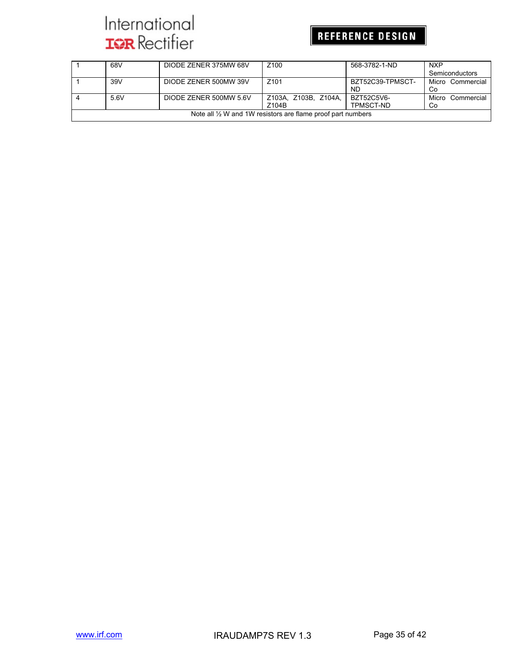## REFERENCE DESIGN

|                                                                        | 68V  | DIODE ZENER 375MW 68V  | Z <sub>100</sub>     | 568-3782-1-ND    | <b>NXP</b>       |  |  |  |
|------------------------------------------------------------------------|------|------------------------|----------------------|------------------|------------------|--|--|--|
|                                                                        |      |                        |                      |                  | Semiconductors   |  |  |  |
|                                                                        | 39V  | DIODE ZENER 500MW 39V  | Z <sub>101</sub>     | BZT52C39-TPMSCT- | Micro Commercial |  |  |  |
|                                                                        |      |                        |                      | ND.              | Co               |  |  |  |
|                                                                        | 5.6V | DIODE ZENER 500MW 5.6V | Z103A. Z103B. Z104A. | BZT52C5V6-       | Micro Commercial |  |  |  |
| Z104B<br>TPMSCT-ND<br>Co                                               |      |                        |                      |                  |                  |  |  |  |
| Note all $\frac{1}{2}$ W and 1W resistors are flame proof part numbers |      |                        |                      |                  |                  |  |  |  |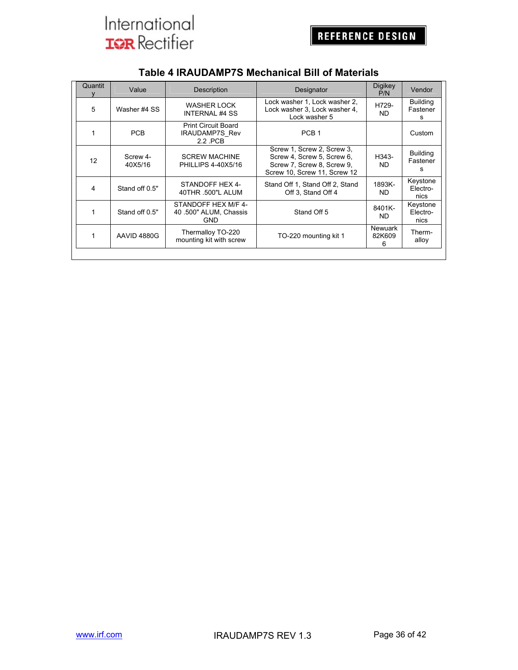|                                                             | Quantit | Value                                                          | Description                                                 | Designator                                                                                                             | <b>Digikey</b><br>P/N         | Vendor                           |
|-------------------------------------------------------------|---------|----------------------------------------------------------------|-------------------------------------------------------------|------------------------------------------------------------------------------------------------------------------------|-------------------------------|----------------------------------|
|                                                             | 5       | Washer #4 SS                                                   | WASHER LOCK<br><b>INTERNAL #4 SS</b>                        | Lock washer 1, Lock washer 2,<br>Lock washer 3, Lock washer 4,<br>Lock washer 5                                        | H729-<br>ND.                  | <b>Building</b><br>Fastener<br>s |
|                                                             |         | <b>Print Circuit Board</b><br>PCB<br>IRAUDAMP7S Rev<br>2.2 PCB |                                                             | PCB <sub>1</sub>                                                                                                       |                               | Custom                           |
|                                                             | 12      | Screw 4-<br>40X5/16                                            | <b>SCREW MACHINE</b><br><b>PHILLIPS 4-40X5/16</b>           | Screw 1, Screw 2, Screw 3,<br>Screw 4, Screw 5, Screw 6,<br>Screw 7, Screw 8, Screw 9,<br>Screw 10, Screw 11, Screw 12 | H343-<br>ND.                  | <b>Building</b><br>Fastener<br>s |
| STANDOFF HEX 4-<br>4<br>Stand off 0.5"<br>40THR .500"L ALUM |         | Stand Off 1, Stand Off 2, Stand<br>Off 3, Stand Off 4          | 1893K-<br>ND.                                               | Keystone<br>Electro-<br>nics                                                                                           |                               |                                  |
|                                                             | 1       | Stand off 0.5"                                                 | STANDOFF HEX M/F 4-<br>40 .500" ALUM, Chassis<br><b>GND</b> | Stand Off 5                                                                                                            | 8401K-<br>ND.                 | Keystone<br>Electro-<br>nics     |
|                                                             | 1       | AAVID 4880G                                                    | Thermalloy TO-220<br>mounting kit with screw                | TO-220 mounting kit 1                                                                                                  | <b>Newuark</b><br>82K609<br>6 | Therm-<br>alloy                  |
|                                                             |         |                                                                |                                                             |                                                                                                                        |                               |                                  |

### **Table 4 IRAUDAMP7S Mechanical Bill of Materials**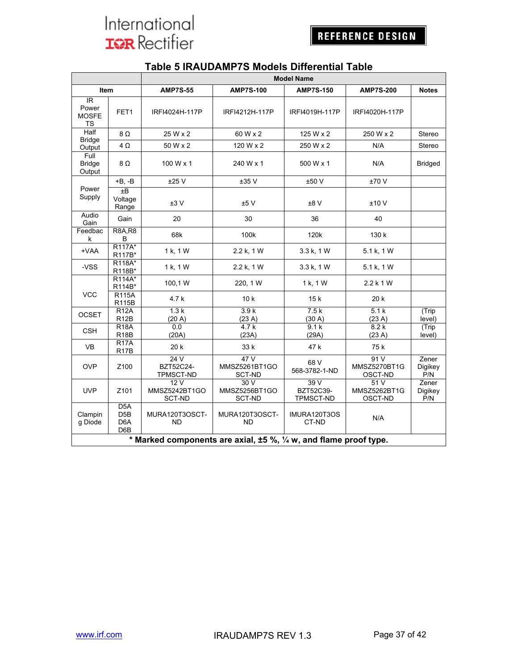|                                                               |                                                                   | <b>Model Name</b>                      |                                       |                               |                                 |                         |
|---------------------------------------------------------------|-------------------------------------------------------------------|----------------------------------------|---------------------------------------|-------------------------------|---------------------------------|-------------------------|
| Item                                                          |                                                                   | <b>AMP7S-55</b>                        | <b>AMP7S-100</b>                      | <b>AMP7S-150</b>              | <b>AMP7S-200</b>                | <b>Notes</b>            |
| $\overline{\mathbb{R}}$<br>Power<br><b>MOSFE</b><br><b>TS</b> | FET1                                                              | IRFI4024H-117P                         | IRFI4212H-117P                        | IRFI4019H-117P                | IRFI4020H-117P                  |                         |
| <b>Half</b>                                                   | 8Ω                                                                | 25 W x 2                               | 60 W x 2                              | 125 W x 2                     | 250 W x 2                       | Stereo                  |
| <b>Bridge</b><br>Output                                       | $4\Omega$                                                         | 50 W x 2                               | 120 W x 2                             | 250 W x 2                     | N/A                             | Stereo                  |
| Full<br><b>Bridge</b><br>Output                               | $8\Omega$                                                         | 100 W x 1                              | 240 W x 1                             | 500 W x 1                     | N/A                             | <b>Bridged</b>          |
|                                                               | $+B, -B$                                                          | ±25V                                   | ±35V                                  | ±50 V                         | ±70 V                           |                         |
| Power<br>Supply                                               | ±B<br>Voltage<br>Range                                            | ±3V                                    | ±5V                                   | ±8V                           | ±10V                            |                         |
| Audio<br>Gain                                                 | Gain                                                              | 20                                     | 30                                    | 36                            | 40                              |                         |
| Feedbac<br>k                                                  | <b>R8A.R8</b><br>B                                                | 68k                                    | 100k                                  | 120 <sub>k</sub>              | 130 k                           |                         |
| +VAA                                                          | R117A*<br>R117B*                                                  | 1 k, 1 W                               | 2.2 k, 1 W                            | 3.3 k, 1 W                    | 5.1 k, 1 W                      |                         |
| -VSS                                                          | R118A*<br>R118B*                                                  | 1 k, 1 W                               | 2.2 k, 1 W                            | 3.3 k, 1 W                    | 5.1 k, 1 W                      |                         |
|                                                               | R114A*<br>R114B*                                                  | 100,1 W                                | 220, 1 W                              | 1 k, 1 W                      | $2.2$ k 1 W                     |                         |
| <b>VCC</b>                                                    | <b>R115A</b><br><b>R115B</b>                                      | 4.7 k                                  | 10 <sub>k</sub>                       | 15k                           | 20k                             |                         |
| <b>OCSET</b>                                                  | <b>R12A</b><br>R <sub>12</sub> B                                  | 1.3k<br>(20 A)                         | 3.9k<br>(23 A)                        | 7.5k<br>(30 A)                | 5.1k<br>(23 A)                  | (Trip<br>level)         |
| <b>CSH</b>                                                    | <b>R18A</b><br>R18B                                               | 0.0<br>(20A)                           | 4.7k<br>(23A)                         | 9.1k<br>(29A)                 | 8.2k<br>(23 A)                  | (Trip<br>level)         |
| <b>VB</b>                                                     | R17A<br>R <sub>17</sub> B                                         | 20 k                                   | 33 k                                  | 47 k                          | 75 k                            |                         |
| <b>OVP</b>                                                    | Z100                                                              | 24V<br>BZT52C24-<br>TPMSCT-ND          | 47V<br>MMSZ5261BT1GO<br><b>SCT-ND</b> | 68 V<br>568-3782-1-ND         | 91V<br>MMSZ5270BT1G<br>OSCT-ND  | Zener<br>Digikey<br>P/N |
| <b>UVP</b>                                                    | Z <sub>101</sub>                                                  | 12 V<br>MMSZ5242BT1GO<br><b>SCT-ND</b> | 30 V<br>MMSZ5256BT1GO<br>SCT-ND       | 39V<br>BZT52C39-<br>TPMSCT-ND | 51 V<br>MMSZ5262BT1G<br>OSCT-ND | Zener<br>Digikey<br>P/N |
| Clampin<br>g Diode                                            | D <sub>5</sub> A<br>D <sub>5</sub> B<br>D <sub>6</sub> A<br>D6B   | MURA120T3OSCT-<br><b>ND</b>            | MURA120T3OSCT-<br>ND.                 | IMURA120T3OS<br>CT-ND         | N/A                             |                         |
|                                                               | * Marked components are axial, ±5 %, 1/4 w, and flame proof type. |                                        |                                       |                               |                                 |                         |

### **Table 5 IRAUDAMP7S Models Differential Table**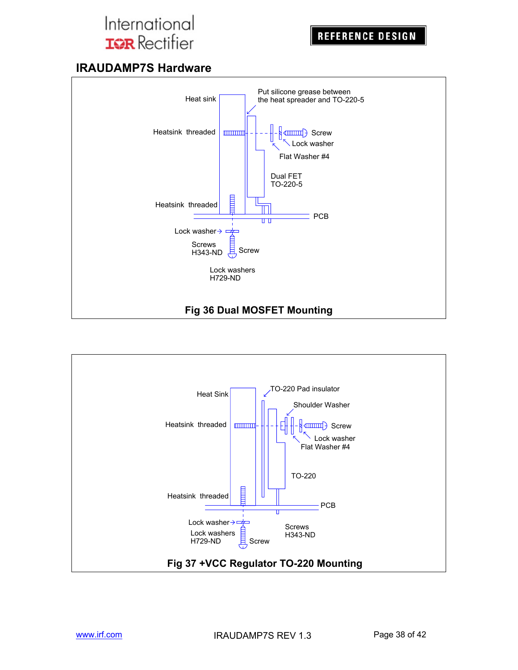## **IRAUDAMP7S Hardware**



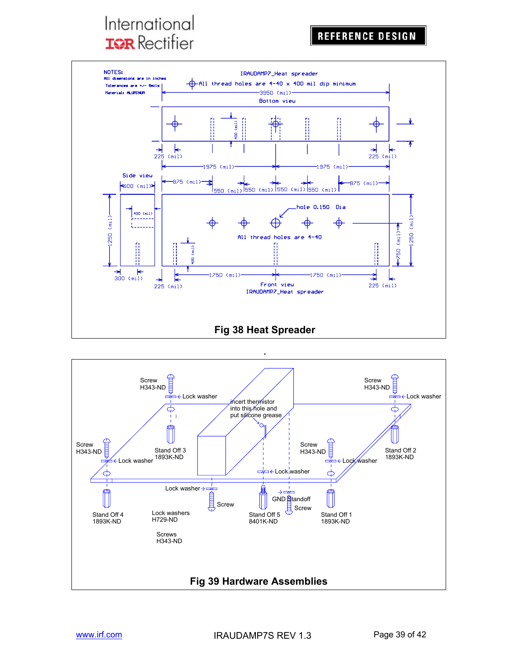

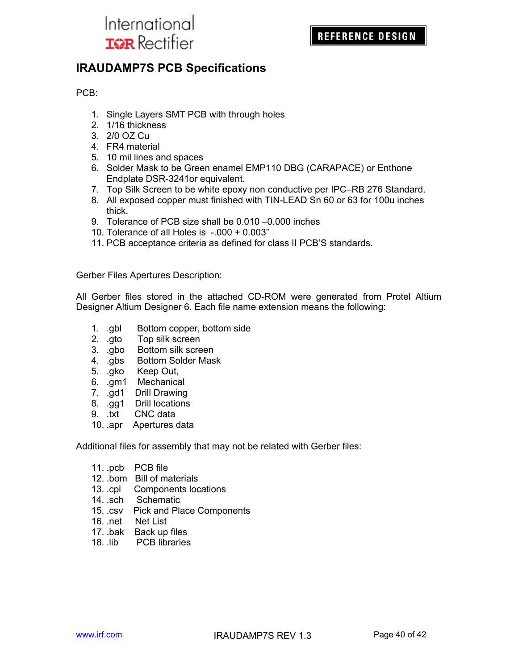

### **IRAUDAMP7S PCB Specifications**

PCB:

- 1. Single Layers SMT PCB with through holes
- 2. 1/16 thickness
- 3. 2/0 OZ Cu
- 4. FR4 material
- 5. 10 mil lines and spaces
- 6. Solder Mask to be Green enamel EMP110 DBG (CARAPACE) or Enthone Endplate DSR-3241or equivalent.
- 7. Top Silk Screen to be white epoxy non conductive per IPC–RB 276 Standard.
- 8. All exposed copper must finished with TIN-LEAD Sn 60 or 63 for 100u inches thick.
- 9. Tolerance of PCB size shall be 0.010 –0.000 inches
- 10. Tolerance of all Holes is -.000 + 0.003"
- 11. PCB acceptance criteria as defined for class II PCB'S standards.

Gerber Files Apertures Description:

All Gerber files stored in the attached CD-ROM were generated from Protel Altium Designer Altium Designer 6. Each file name extension means the following:

- 1. .gbl Bottom copper, bottom side
- 2. .gto Top silk screen
- 3. .gbo Bottom silk screen
- 4. .gbs Bottom Solder Mask
- 5. .gko Keep Out,
- 6. .gm1 Mechanical
- 7. .gd1 Drill Drawing
- 8. .gg1 Drill locations
- 9. .txt CNC data
- 10. .apr Apertures data

Additional files for assembly that may not be related with Gerber files:

- 11. .pcb PCB file
- 12. .bom Bill of materials
- 13. .cpl Components locations
- 14. .sch Schematic
- 15. .csv Pick and Place Components
- 16. .net Net List
- 17. .bak Back up files
- 18. .lib PCB libraries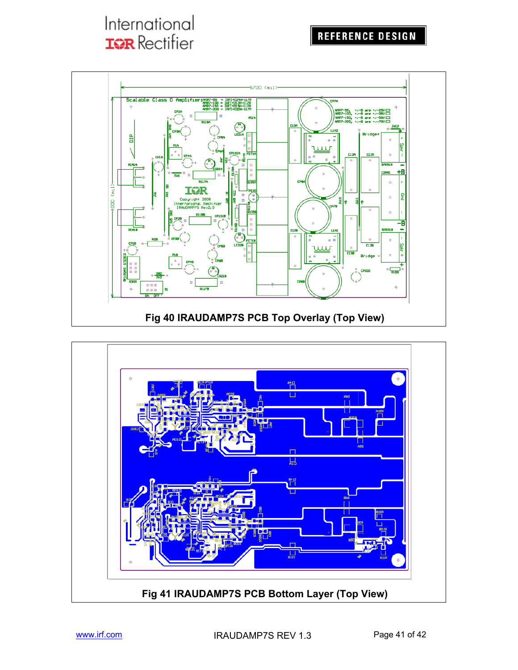